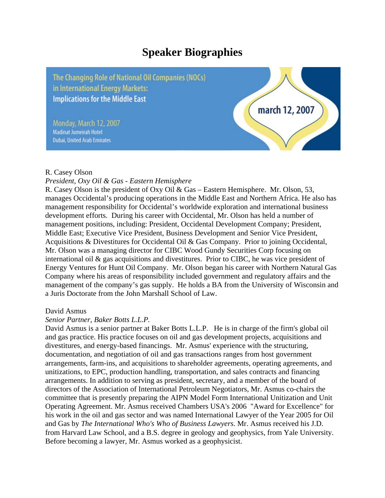# **Speaker Biographies**

The Changing Role of National Oil Companies (NOCs) in International Energy Markets: **Implications for the Middle East** 

Monday, March 12, 2007 Madinat Jumeirah Hotel **Dubai, United Arab Emirates** 



#### R. Casey Olson

## *President, Oxy Oil & Gas - Eastern Hemisphere*

R. Casey Olson is the president of Oxy Oil & Gas – Eastern Hemisphere. Mr. Olson, 53, manages Occidental's producing operations in the Middle East and Northern Africa. He also has management responsibility for Occidental's worldwide exploration and international business development efforts. During his career with Occidental, Mr. Olson has held a number of management positions, including: President, Occidental Development Company; President, Middle East; Executive Vice President, Business Development and Senior Vice President, Acquisitions & Divestitures for Occidental Oil & Gas Company. Prior to joining Occidental, Mr. Olson was a managing director for CIBC Wood Gundy Securities Corp focusing on international oil & gas acquisitions and divestitures. Prior to CIBC, he was vice president of Energy Ventures for Hunt Oil Company. Mr. Olson began his career with Northern Natural Gas Company where his areas of responsibility included government and regulatory affairs and the management of the company's gas supply. He holds a BA from the University of Wisconsin and a Juris Doctorate from the John Marshall School of Law.

## David Asmus

## *Senior Partner, Baker Botts L.L.P.*

David Asmus is a senior partner at Baker Botts L.L.P. He is in charge of the firm's global oil and gas practice. His practice focuses on oil and gas development projects, acquisitions and divestitures, and energy-based financings. Mr. Asmus' experience with the structuring, documentation, and negotiation of oil and gas transactions ranges from host government arrangements, farm-ins, and acquisitions to shareholder agreements, operating agreements, and unitizations, to EPC, production handling, transportation, and sales contracts and financing arrangements. In addition to serving as president, secretary, and a member of the board of directors of the Association of International Petroleum Negotiators, Mr. Asmus co-chairs the committee that is presently preparing the AIPN Model Form International Unitization and Unit Operating Agreement. Mr. Asmus received Chambers USA's 2006 "Award for Excellence" for his work in the oil and gas sector and was named International Lawyer of the Year 2005 for Oil and Gas by *The International Who's Who of Business Lawyers*. Mr. Asmus received his J.D. from Harvard Law School, and a B.S. degree in geology and geophysics, from Yale University. Before becoming a lawyer, Mr. Asmus worked as a geophysicist.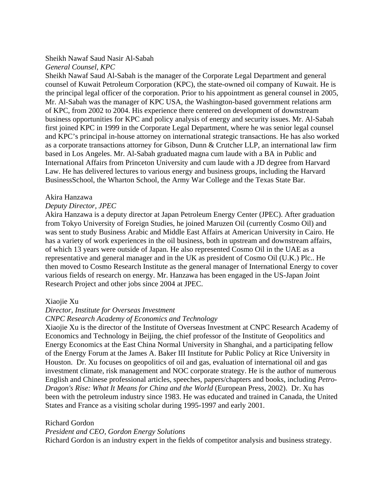## Sheikh Nawaf Saud Nasir Al-Sabah

## *General Counsel, KPC*

Sheikh Nawaf Saud Al-Sabah is the manager of the Corporate Legal Department and general counsel of Kuwait Petroleum Corporation (KPC), the state-owned oil company of Kuwait. He is the principal legal officer of the corporation. Prior to his appointment as general counsel in 2005, Mr. Al-Sabah was the manager of KPC USA, the Washington-based government relations arm of KPC, from 2002 to 2004. His experience there centered on development of downstream business opportunities for KPC and policy analysis of energy and security issues. Mr. Al-Sabah first joined KPC in 1999 in the Corporate Legal Department, where he was senior legal counsel and KPC's principal in-house attorney on international strategic transactions. He has also worked as a corporate transactions attorney for Gibson, Dunn & Crutcher LLP, an international law firm based in Los Angeles. Mr. Al-Sabah graduated magna cum laude with a BA in Public and International Affairs from Princeton University and cum laude with a JD degree from Harvard Law. He has delivered lectures to various energy and business groups, including the Harvard BusinessSchool, the Wharton School, the Army War College and the Texas State Bar.

## Akira Hanzawa

## *Deputy Director, JPEC*

Akira Hanzawa is a deputy director at Japan Petroleum Energy Center (JPEC). After graduation from Tokyo University of Foreign Studies, he joined Maruzen Oil (currently Cosmo Oil) and was sent to study Business Arabic and Middle East Affairs at American University in Cairo. He has a variety of work experiences in the oil business, both in upstream and downstream affairs, of which 13 years were outside of Japan. He also represented Cosmo Oil in the UAE as a representative and general manager and in the UK as president of Cosmo Oil (U.K.) Plc.. He then moved to Cosmo Research Institute as the general manager of International Energy to cover various fields of research on energy. Mr. Hanzawa has been engaged in the US-Japan Joint Research Project and other jobs since 2004 at JPEC.

## Xiaojie Xu

## *Director, Institute for Overseas Investment*

## *CNPC Research Academy of Economics and Technology*

Xiaojie Xu is the director of the Institute of Overseas Investment at CNPC Research Academy of Economics and Technology in Beijing, the chief professor of the Institute of Geopolitics and Energy Economics at the East China Normal University in Shanghai, and a participating fellow of the Energy Forum at the James A. Baker III Institute for Public Policy at Rice University in Houston. Dr. Xu focuses on geopolitics of oil and gas, evaluation of international oil and gas investment climate, risk management and NOC corporate strategy. He is the author of numerous English and Chinese professional articles, speeches, papers/chapters and books, including *Petro-Dragon's Rise: What It Means for China and the World* (European Press, 2002). Dr. Xu has been with the petroleum industry since 1983. He was educated and trained in Canada, the United States and France as a visiting scholar during 1995-1997 and early 2001.

## Richard Gordon

*President and CEO, Gordon Energy Solutions*

Richard Gordon is an industry expert in the fields of competitor analysis and business strategy.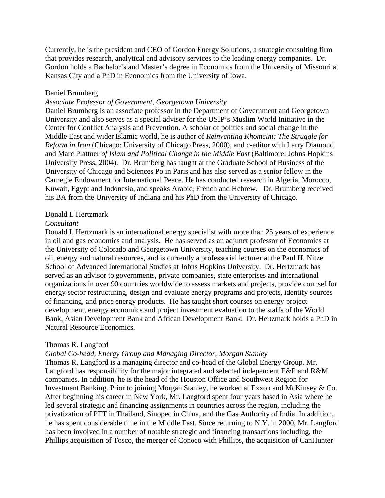Currently, he is the president and CEO of Gordon Energy Solutions, a strategic consulting firm that provides research, analytical and advisory services to the leading energy companies. Dr. Gordon holds a Bachelor's and Master's degree in Economics from the University of Missouri at Kansas City and a PhD in Economics from the University of Iowa.

#### Daniel Brumberg

#### *Associate Professor of Government, Georgetown University*

Daniel Brumberg is an associate professor in the Department of Government and Georgetown University and also serves as a special adviser for the USIP's Muslim World Initiative in the Center for Conflict Analysis and Prevention. A scholar of politics and social change in the Middle East and wider Islamic world, he is author of *Reinventing Khomeini: The Struggle for Reform in Iran* (Chicago: University of Chicago Press, 2000), and c-editor with Larry Diamond and Marc Plattner *of Islam and Political Change in the Middle East* (Baltimore: Johns Hopkins University Press, 2004). Dr. Brumberg has taught at the Graduate School of Business of the University of Chicago and Sciences Po in Paris and has also served as a senior fellow in the Carnegie Endowment for International Peace. He has conducted research in Algeria, Morocco, Kuwait, Egypt and Indonesia, and speaks Arabic, French and Hebrew. Dr. Brumberg received his BA from the University of Indiana and his PhD from the University of Chicago.

#### Donald I. Hertzmark

#### *Consultant*

Donald I. Hertzmark is an international energy specialist with more than 25 years of experience in oil and gas economics and analysis. He has served as an adjunct professor of Economics at the University of Colorado and Georgetown University, teaching courses on the economics of oil, energy and natural resources, and is currently a professorial lecturer at the Paul H. Nitze School of Advanced International Studies at Johns Hopkins University. Dr. Hertzmark has served as an advisor to governments, private companies, state enterprises and international organizations in over 90 countries worldwide to assess markets and projects, provide counsel for energy sector restructuring, design and evaluate energy programs and projects, identify sources of financing, and price energy products. He has taught short courses on energy project development, energy economics and project investment evaluation to the staffs of the World Bank, Asian Development Bank and African Development Bank. Dr. Hertzmark holds a PhD in Natural Resource Economics.

#### Thomas R. Langford

#### *Global Co-head, Energy Group and Managing Director, Morgan Stanley*

Thomas R. Langford is a managing director and co-head of the Global Energy Group. Mr. Langford has responsibility for the major integrated and selected independent E&P and R&M companies. In addition, he is the head of the Houston Office and Southwest Region for Investment Banking. Prior to joining Morgan Stanley, he worked at Exxon and McKinsey & Co. After beginning his career in New York, Mr. Langford spent four years based in Asia where he led several strategic and financing assignments in countries across the region, including the privatization of PTT in Thailand, Sinopec in China, and the Gas Authority of India. In addition, he has spent considerable time in the Middle East. Since returning to N.Y. in 2000, Mr. Langford has been involved in a number of notable strategic and financing transactions including, the Phillips acquisition of Tosco, the merger of Conoco with Phillips, the acquisition of CanHunter